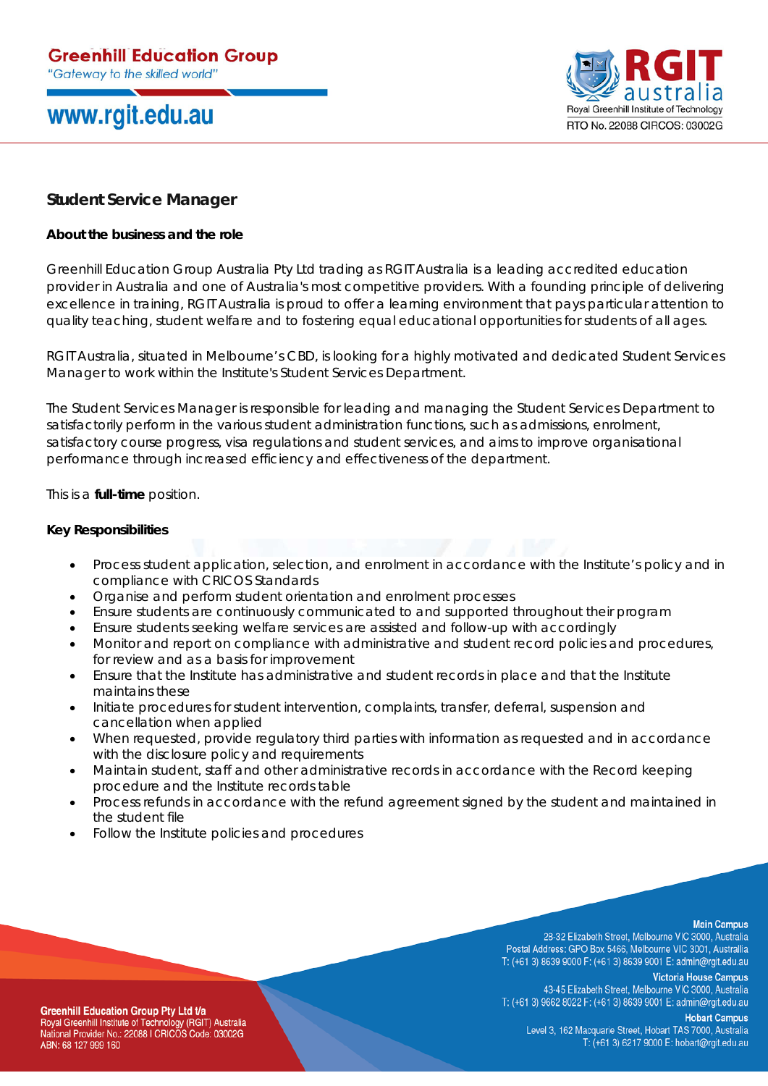## www.rgit.edu.au



## **Student Service Manager**

## **About the business and the role**

Greenhill Education Group Australia Pty Ltd trading as RGIT Australia is a leading accredited education provider in Australia and one of Australia's most competitive providers. With a founding principle of delivering excellence in training, RGIT Australia is proud to offer a learning environment that pays particular attention to quality teaching, student welfare and to fostering equal educational opportunities for students of all ages.

RGIT Australia, situated in Melbourne's CBD, is looking for a highly motivated and dedicated Student Services Manager to work within the Institute's Student Services Department.

The Student Services Manager is responsible for leading and managing the Student Services Department to satisfactorily perform in the various student administration functions, such as admissions, enrolment, satisfactory course progress, visa regulations and student services, and aims to improve organisational performance through increased efficiency and effectiveness of the department.

This is a **full-time** position.

## **Key Responsibilities**

- Process student application, selection, and enrolment in accordance with the Institute's policy and in compliance with CRICOS Standards
- Organise and perform student orientation and enrolment processes
- Ensure students are continuously communicated to and supported throughout their program
- Ensure students seeking welfare services are assisted and follow-up with accordingly
- Monitor and report on compliance with administrative and student record policies and procedures, for review and as a basis for improvement
- Ensure that the Institute has administrative and student records in place and that the Institute maintains these
- Initiate procedures for student intervention, complaints, transfer, deferral, suspension and cancellation when applied
- When requested, provide regulatory third parties with information as requested and in accordance with the disclosure policy and requirements
- Maintain student, staff and other administrative records in accordance with the Record keeping procedure and the Institute records table
- Process refunds in accordance with the refund agreement signed by the student and maintained in the student file
- Follow the Institute policies and procedures

#### **Main Campus**

28-32 Elizabeth Street, Melbourne VIC 3000, Australia Postal Address: GPO Box 5466, Melbourne VIC 3001, Australlia T: (+61 3) 8639 9000 F: (+61 3) 8639 9001 E: admin@rgit.edu.au

**Victoria House Campus** 43-45 Elizabeth Street, Melbourne VIC 3000, Australia T: (+61 3) 9662 8022 F: (+61 3) 8639 9001 E: admin@rgit.edu.au

**Hobart Campus** Level 3, 162 Macquarie Street, Hobart TAS 7000, Australia T: (+61 3) 6217 9000 E: hobart@rgit.edu.au

**Greenhill Education Group Pty Ltd t/a** Royal Greenhill Institute of Technology (RGIT) Australia National Provider No.: 22088 I CRICOS Code: 03002G ABN: 68 127 999 160